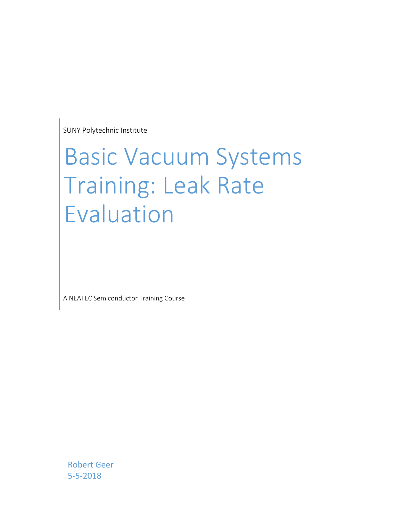SUNY Polytechnic Institute

# Basic Vacuum Systems Training: Leak Rate Evaluation

A NEATEC Semiconductor Training Course

Robert Geer 5‐5‐2018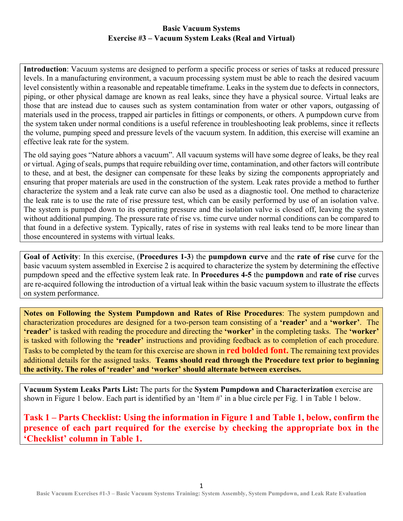#### **Basic Vacuum Systems Exercise #3 – Vacuum System Leaks (Real and Virtual)**

**Introduction**: Vacuum systems are designed to perform a specific process or series of tasks at reduced pressure levels. In a manufacturing environment, a vacuum processing system must be able to reach the desired vacuum level consistently within a reasonable and repeatable timeframe. Leaks in the system due to defects in connectors, piping, or other physical damage are known as real leaks, since they have a physical source. Virtual leaks are those that are instead due to causes such as system contamination from water or other vapors, outgassing of materials used in the process, trapped air particles in fittings or components, or others. A pumpdown curve from the system taken under normal conditions is a useful reference in troubleshooting leak problems, since it reflects the volume, pumping speed and pressure levels of the vacuum system. In addition, this exercise will examine an effective leak rate for the system.

The old saying goes "Nature abhors a vacuum". All vacuum systems will have some degree of leaks, be they real or virtual. Aging of seals, pumps that require rebuilding over time, contamination, and other factors will contribute to these, and at best, the designer can compensate for these leaks by sizing the components appropriately and ensuring that proper materials are used in the construction of the system. Leak rates provide a method to further characterize the system and a leak rate curve can also be used as a diagnostic tool. One method to characterize the leak rate is to use the rate of rise pressure test, which can be easily performed by use of an isolation valve. The system is pumped down to its operating pressure and the isolation valve is closed off, leaving the system without additional pumping. The pressure rate of rise vs. time curve under normal conditions can be compared to that found in a defective system. Typically, rates of rise in systems with real leaks tend to be more linear than those encountered in systems with virtual leaks.

**Goal of Activity**: In this exercise, (**Procedures 1-3**) the **pumpdown curve** and the **rate of rise** curve for the basic vacuum system assembled in Exercise 2 is acquired to characterize the system by determining the effective pumpdown speed and the effective system leak rate. In **Procedures 4-5** the **pumpdown** and **rate of rise** curves are re-acquired following the introduction of a virtual leak within the basic vacuum system to illustrate the effects on system performance.

**Notes on Following the System Pumpdown and Rates of Rise Procedures**: The system pumpdown and characterization procedures are designed for a two-person team consisting of a **'reader'** and a **'worker'**. The **'reader'** is tasked with reading the procedure and directing the **'worker'** in the completing tasks. The **'worker'** is tasked with following the **'reader'** instructions and providing feedback as to completion of each procedure. Tasks to be completed by the team for this exercise are shown in **red bolded font.** The remaining text provides additional details for the assigned tasks. **Teams should read through the Procedure text prior to beginning the activity. The roles of 'reader' and 'worker' should alternate between exercises.**

**Vacuum System Leaks Parts List:** The parts for the **System Pumpdown and Characterization** exercise are shown in Figure 1 below. Each part is identified by an 'Item #' in a blue circle per Fig. 1 in Table 1 below.

**Task 1 – Parts Checklist: Using the information in Figure 1 and Table 1, below, confirm the presence of each part required for the exercise by checking the appropriate box in the 'Checklist' column in Table 1.**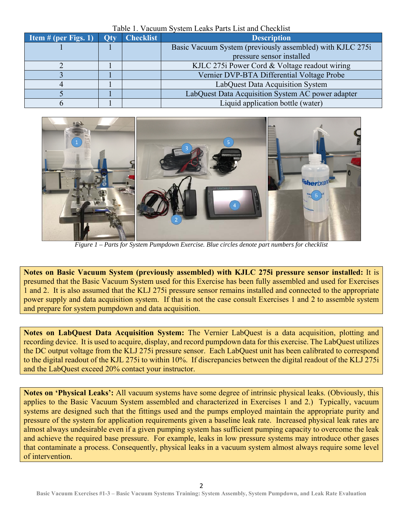| Item $#$ (per Figs. 1) | <b>Otv</b> | TWOTS IT TWOMMILD TOWNILL LOWING I WING LIFT WITH CHOOKING<br><b>Checklist</b> | <b>Description</b>                                        |  |  |  |
|------------------------|------------|--------------------------------------------------------------------------------|-----------------------------------------------------------|--|--|--|
|                        |            |                                                                                | Basic Vacuum System (previously assembled) with KJLC 275i |  |  |  |
|                        |            |                                                                                | pressure sensor installed                                 |  |  |  |
|                        |            |                                                                                | KJLC 275i Power Cord & Voltage readout wiring             |  |  |  |
|                        |            |                                                                                | Vernier DVP-BTA Differential Voltage Probe                |  |  |  |
|                        |            |                                                                                | LabQuest Data Acquisition System                          |  |  |  |
|                        |            |                                                                                | LabQuest Data Acquisition System AC power adapter         |  |  |  |
|                        |            |                                                                                | Liquid application bottle (water)                         |  |  |  |

Table 1. Vacuum System Leaks Parts List and Checklist



*Figure 1 – Parts for System Pumpdown Exercise. Blue circles denote part numbers for checklist*

**Notes on Basic Vacuum System (previously assembled) with KJLC 275i pressure sensor installed:** It is presumed that the Basic Vacuum System used for this Exercise has been fully assembled and used for Exercises 1 and 2. It is also assumed that the KLJ 275i pressure sensor remains installed and connected to the appropriate power supply and data acquisition system. If that is not the case consult Exercises 1 and 2 to assemble system and prepare for system pumpdown and data acquisition.

**Notes on LabQuest Data Acquisition System:** The Vernier LabQuest is a data acquisition, plotting and recording device. It is used to acquire, display, and record pumpdown data for this exercise. The LabQuest utilizes the DC output voltage from the KLJ 275i pressure sensor. Each LabQuest unit has been calibrated to correspond to the digital readout of the KJL 275i to within 10%. If discrepancies between the digital readout of the KLJ 275i and the LabQuest exceed 20% contact your instructor.

**Notes on 'Physical Leaks':** All vacuum systems have some degree of intrinsic physical leaks. (Obviously, this applies to the Basic Vacuum System assembled and characterized in Exercises 1 and 2.) Typically, vacuum systems are designed such that the fittings used and the pumps employed maintain the appropriate purity and pressure of the system for application requirements given a baseline leak rate. Increased physical leak rates are almost always undesirable even if a given pumping system has sufficient pumping capacity to overcome the leak and achieve the required base pressure. For example, leaks in low pressure systems may introduce other gases that contaminate a process. Consequently, physical leaks in a vacuum system almost always require some level of intervention.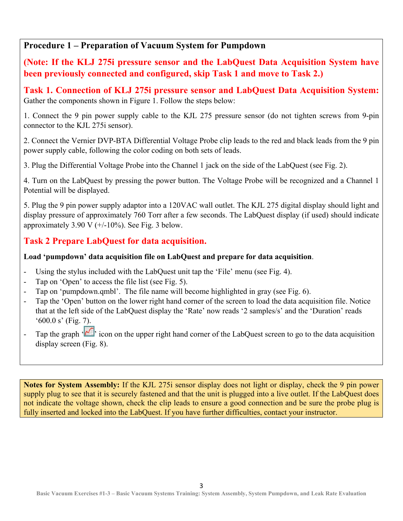## **Procedure 1 – Preparation of Vacuum System for Pumpdown**

**(Note: If the KLJ 275i pressure sensor and the LabQuest Data Acquisition System have been previously connected and configured, skip Task 1 and move to Task 2.)** 

**Task 1. Connection of KLJ 275i pressure sensor and LabQuest Data Acquisition System:**  Gather the components shown in Figure 1. Follow the steps below:

1. Connect the 9 pin power supply cable to the KJL 275 pressure sensor (do not tighten screws from 9-pin connector to the KJL 275i sensor).

2. Connect the Vernier DVP-BTA Differential Voltage Probe clip leads to the red and black leads from the 9 pin power supply cable, following the color coding on both sets of leads.

3. Plug the Differential Voltage Probe into the Channel 1 jack on the side of the LabQuest (see Fig. 2).

4. Turn on the LabQuest by pressing the power button. The Voltage Probe will be recognized and a Channel 1 Potential will be displayed.

5. Plug the 9 pin power supply adaptor into a 120VAC wall outlet. The KJL 275 digital display should light and display pressure of approximately 760 Torr after a few seconds. The LabQuest display (if used) should indicate approximately  $3.90 \text{ V } (+/-10\%)$ . See Fig. 3 below.

## **Task 2 Prepare LabQuest for data acquisition.**

#### **Load 'pumpdown' data acquisition file on LabQuest and prepare for data acquisition**.

- Using the stylus included with the LabQuest unit tap the 'File' menu (see Fig. 4).
- Tap on 'Open' to access the file list (see Fig. 5).
- Tap on 'pumpdown.qmbl'. The file name will become highlighted in gray (see Fig. 6).
- Tap the 'Open' button on the lower right hand corner of the screen to load the data acquisition file. Notice that at the left side of the LabQuest display the 'Rate' now reads '2 samples/s' and the 'Duration' reads '600.0 s' (Fig. 7).
- Tap the graph  $\cdot$   $\cdot$  icon on the upper right hand corner of the LabQuest screen to go to the data acquisition display screen (Fig. 8).

**Notes for System Assembly:** If the KJL 275i sensor display does not light or display, check the 9 pin power supply plug to see that it is securely fastened and that the unit is plugged into a live outlet. If the LabQuest does not indicate the voltage shown, check the clip leads to ensure a good connection and be sure the probe plug is fully inserted and locked into the LabQuest. If you have further difficulties, contact your instructor.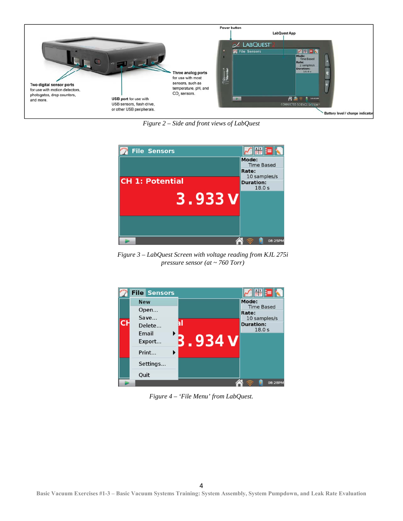

*Figure 2 – Side and front views of LabQuest*



*Figure 3 – LabQuest Screen with voltage reading from KJL 275i pressure sensor (at ~ 760 Torr)* 



*Figure 4 – 'File Menu' from LabQuest.*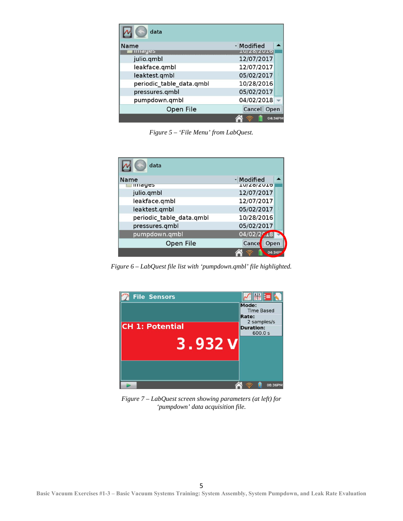| data                     |                   |         |
|--------------------------|-------------------|---------|
| Name                     | - Modified        |         |
| <b>Illiages</b>          | <b>IU/ZO/ZUID</b> |         |
| julio.qmbl               | 12/07/2017        |         |
| leakface.qmbl            | 12/07/2017        |         |
| leaktest.gmbl            | 05/02/2017        |         |
| periodic_table_data.qmbl | 10/28/2016        |         |
| pressures.gmbl           | 05/02/2017        |         |
| pumpdown.qmbl            | 04/02/2018        |         |
| Open File                | Cancel Open       |         |
|                          |                   | 04:34PM |

*Figure 5 – 'File Menu' from LabQuest.* 

| data                     |                   |         |
|--------------------------|-------------------|---------|
| Name                     | - Modified        |         |
| <b>IIIIdyes</b>          | <b>TO/ZO/ZUID</b> |         |
| julio.qmbl               | 12/07/2017        |         |
| leakface.qmbl            | 12/07/2017        |         |
| leaktest.qmbl            | 05/02/2017        |         |
| periodic_table_data.qmbl | 10/28/2016        |         |
| pressures.gmbl           | 05/02/2017        |         |
| pumpdown.qmbl            | 04/02/29          |         |
| Open File                | Cance<br>Open     |         |
|                          |                   | 04:34PI |

*Figure 6 – LabQuest file list with 'pumpdown.qmbl' file highlighted.* 



*Figure 7 – LabQuest screen showing parameters (at left) for 'pumpdown' data acquisition file.*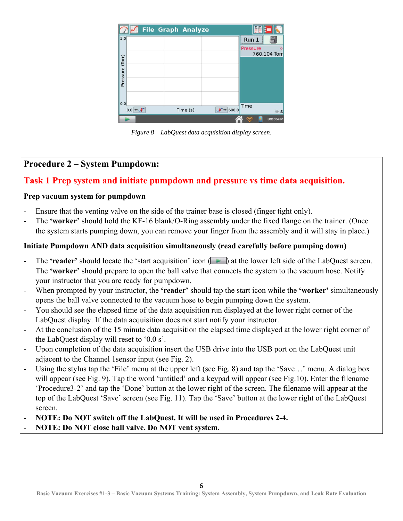|          |     |  | <b>File Graph Analyze</b> |          | ¥¥       |              |
|----------|-----|--|---------------------------|----------|----------|--------------|
| 5.0      |     |  |                           |          | Run 1    |              |
|          |     |  |                           |          | Pressure | 760.104 Torr |
| (Torr)   |     |  |                           |          |          |              |
|          |     |  |                           |          |          |              |
| Pressure |     |  |                           |          |          |              |
|          |     |  |                           |          |          |              |
|          |     |  |                           |          |          |              |
| 0.0      |     |  |                           | $-600.0$ | Time     |              |
|          | 0.0 |  | Time (s)                  |          |          | $\circ$ s    |
|          |     |  |                           |          |          | 08:36PM      |

*Figure 8 – LabQuest data acquisition display screen*.

## **Procedure 2 – System Pumpdown:**

### **Task 1 Prep system and initiate pumpdown and pressure vs time data acquisition.**

#### **Prep vacuum system for pumpdown**

- Ensure that the venting valve on the side of the trainer base is closed (finger tight only).
- The **'worker'** should hold the KF-16 blank/O-Ring assembly under the fixed flange on the trainer. (Once the system starts pumping down, you can remove your finger from the assembly and it will stay in place.)

#### **Initiate Pumpdown AND data acquisition simultaneously (read carefully before pumping down)**

- The **'reader'** should locate the 'start acquisition' icon (**I**) at the lower left side of the LabQuest screen. The **'worker'** should prepare to open the ball valve that connects the system to the vacuum hose. Notify your instructor that you are ready for pumpdown.
- When prompted by your instructor, the **'reader'** should tap the start icon while the **'worker'** simultaneously opens the ball valve connected to the vacuum hose to begin pumping down the system.
- You should see the elapsed time of the data acquisition run displayed at the lower right corner of the LabQuest display. If the data acquisition does not start notify your instructor.
- At the conclusion of the 15 minute data acquisition the elapsed time displayed at the lower right corner of the LabQuest display will reset to '0.0 s'.
- Upon completion of the data acquisition insert the USB drive into the USB port on the LabQuest unit adjacent to the Channel 1sensor input (see Fig. 2).
- Using the stylus tap the 'File' menu at the upper left (see Fig. 8) and tap the 'Save...' menu. A dialog box will appear (see Fig. 9). Tap the word 'untitled' and a keypad will appear (see Fig.10). Enter the filename 'Procedure3-2' and tap the 'Done' button at the lower right of the screen. The filename will appear at the top of the LabQuest 'Save' screen (see Fig. 11). Tap the 'Save' button at the lower right of the LabQuest screen.
- **NOTE: Do NOT switch off the LabQuest. It will be used in Procedures 2-4.**
- **NOTE: Do NOT close ball valve. Do NOT vent system.**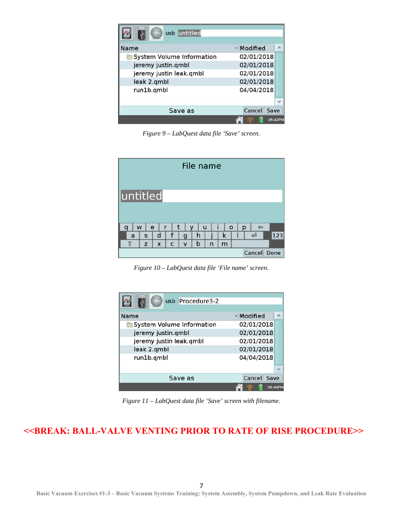| usb untitled              |                |         |
|---------------------------|----------------|---------|
| Name                      | - Modified     |         |
| System Volume Information | 02/01/2018     |         |
| jeremy justin.qmbl        | 02/01/2018     |         |
| jeremy justin leak.qmbl   | 02/01/2018     |         |
| leak 2.qmbl               | 02/01/2018     |         |
| run1b.qmbl                | 04/04/2018     |         |
|                           |                |         |
| Save as                   | Cancel<br>Save |         |
|                           |                | 05:42PM |

*Figure 9 – LabQuest data file 'Save' screen.* 

| File name       |              |   |   |              |   |   |   |                              |
|-----------------|--------------|---|---|--------------|---|---|---|------------------------------|
| <b>untitled</b> |              |   |   |              |   |   |   |                              |
| W               | e            | r | t | v            |   | u |   | $\circ$<br>p<br>$\Leftarrow$ |
| a               | $\mathsf{s}$ | d | f | g            | h |   | k | 123<br>ఆ                     |
| ⇧               | z            | X | C | $\mathsf{V}$ | b | n | m |                              |
| Cancel<br>Done  |              |   |   |              |   |   |   |                              |

*Figure 10 – LabQuest data file 'File name' screen.* 

| usb Procedure3-2          |            |  |  |  |
|---------------------------|------------|--|--|--|
| <b>Name</b>               | - Modified |  |  |  |
| System Volume Information | 02/01/2018 |  |  |  |
| jeremy justin.qmbl        | 02/01/2018 |  |  |  |
| jeremy justin leak.qmbl   | 02/01/2018 |  |  |  |
| leak 2.qmbl               | 02/01/2018 |  |  |  |
| run1b.qmbl                | 04/04/2018 |  |  |  |
|                           |            |  |  |  |
| Cancel<br>Save as<br>Save |            |  |  |  |
|                           | 05:44PM    |  |  |  |

*Figure 11 – LabQuest data file 'Save' screen with filename.* 

## **<<BREAK: BALL-VALVE VENTING PRIOR TO RATE OF RISE PROCEDURE>>**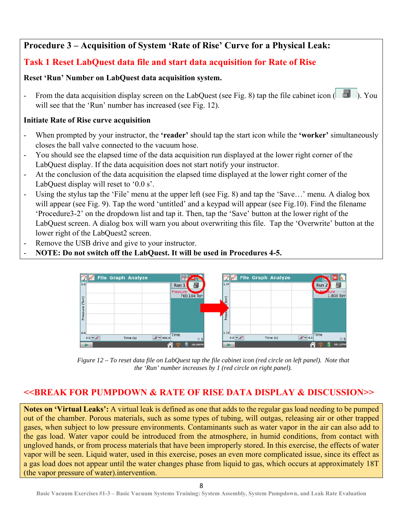# **Procedure 3 – Acquisition of System 'Rate of Rise' Curve for a Physical Leak:**

# **Task 1 Reset LabQuest data file and start data acquisition for Rate of Rise**

#### **Reset 'Run' Number on LabQuest data acquisition system.**

From the data acquisition display screen on the LabQuest (see Fig. 8) tap the file cabinet icon  $(\Box)$ . You will see that the 'Run' number has increased (see Fig. 12).

#### **Initiate Rate of Rise curve acquisition**

- When prompted by your instructor, the **'reader'** should tap the start icon while the **'worker'** simultaneously closes the ball valve connected to the vacuum hose.
- You should see the elapsed time of the data acquisition run displayed at the lower right corner of the LabQuest display. If the data acquisition does not start notify your instructor.
- At the conclusion of the data acquisition the elapsed time displayed at the lower right corner of the LabQuest display will reset to '0.0 s'.
- Using the stylus tap the 'File' menu at the upper left (see Fig. 8) and tap the 'Save...' menu. A dialog box will appear (see Fig. 9). Tap the word 'untitled' and a keypad will appear (see Fig. 10). Find the filename 'Procedure3-2' on the dropdown list and tap it. Then, tap the 'Save' button at the lower right of the LabQuest screen. A dialog box will warn you about overwriting this file. Tap the 'Overwrite' button at the lower right of the LabQuest2 screen.
- Remove the USB drive and give to your instructor.
- **NOTE: Do not switch off the LabQuest. It will be used in Procedures 4-5.**



*Figure 12 – To reset data file on LabQuest tap the file cabinet icon (red circle on left panel). Note that the 'Run' number increases by 1 (red circle on right panel).* 

# **<<BREAK FOR PUMPDOWN & RATE OF RISE DATA DISPLAY & DISCUSSION>>**

**Notes on 'Virtual Leaks':** A virtual leak is defined as one that adds to the regular gas load needing to be pumped out of the chamber. Porous materials, such as some types of tubing, will outgas, releasing air or other trapped gases, when subject to low pressure environments. Contaminants such as water vapor in the air can also add to the gas load. Water vapor could be introduced from the atmosphere, in humid conditions, from contact with ungloved hands, or from process materials that have been improperly stored. In this exercise, the effects of water vapor will be seen. Liquid water, used in this exercise, poses an even more complicated issue, since its effect as a gas load does not appear until the water changes phase from liquid to gas, which occurs at approximately 18T (the vapor pressure of water).intervention.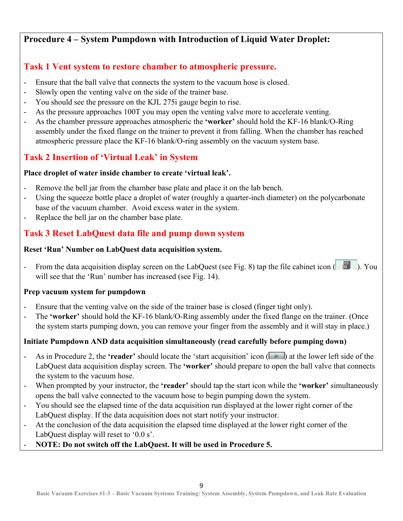# **Procedure 4 – System Pumpdown with Introduction of Liquid Water Droplet:**

# **Task 1 Vent system to restore chamber to atmospheric pressure.**

- Ensure that the ball valve that connects the system to the vacuum hose is closed.
- Slowly open the venting valve on the side of the trainer base.
- You should see the pressure on the KJL 275i gauge begin to rise.
- As the pressure approaches 100T you may open the venting valve more to accelerate venting.
- As the chamber pressure approaches atmospheric the **'worker'** should hold the KF-16 blank/O-Ring assembly under the fixed flange on the trainer to prevent it from falling. When the chamber has reached atmospheric pressure place the KF-16 blank/O-ring assembly on the vacuum system base.

# **Task 2 Insertion of 'Virtual Leak' in System**

### **Place droplet of water inside chamber to create 'virtual leak'.**

- Remove the bell jar from the chamber base plate and place it on the lab bench.
- Using the squeeze bottle place a droplet of water (roughly a quarter-inch diameter) on the polycarbonate base of the vacuum chamber. Avoid excess water in the system.
- Replace the bell jar on the chamber base plate.

# **Task 3 Reset LabQuest data file and pump down system**

#### **Reset 'Run' Number on LabQuest data acquisition system.**

- From the data acquisition display screen on the LabQuest (see Fig. 8) tap the file cabinet icon ( **1)**. You will see that the 'Run' number has increased (see Fig. 14).

#### **Prep vacuum system for pumpdown**

- Ensure that the venting valve on the side of the trainer base is closed (finger tight only).
- The **'worker'** should hold the KF-16 blank/O-Ring assembly under the fixed flange on the trainer. (Once the system starts pumping down, you can remove your finger from the assembly and it will stay in place.)

## **Initiate Pumpdown AND data acquisition simultaneously (read carefully before pumping down)**

- As in Procedure 2, the **'reader'** should locate the 'start acquisition' icon (**All**) at the lower left side of the LabQuest data acquisition display screen. The **'worker'** should prepare to open the ball valve that connects the system to the vacuum hose.
- When prompted by your instructor, the **'reader'** should tap the start icon while the **'worker'** simultaneously opens the ball valve connected to the vacuum hose to begin pumping down the system.
- You should see the elapsed time of the data acquisition run displayed at the lower right corner of the LabQuest display. If the data acquisition does not start notify your instructor.
- At the conclusion of the data acquisition the elapsed time displayed at the lower right corner of the LabQuest display will reset to '0.0 s'.
- **NOTE: Do not switch off the LabQuest. It will be used in Procedure 5.**